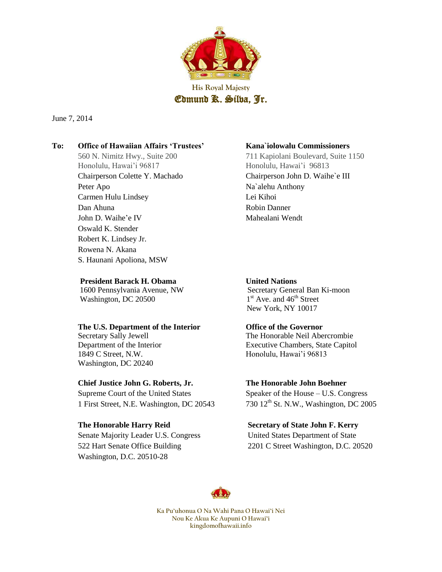

June 7, 2014

# **To: Office of Hawaiian Affairs 'Trustees' Kana`iolowalu Commissioners**

Honolulu, Hawai'i 96817 Honolulu, Hawai'i 96813 Peter Apo Na`alehu Anthony Carmen Hulu Lindsey Lei Kihoi Dan Ahuna Robin Danner John D. Waihe'e IV Mahealani Wendt Oswald K. Stender Robert K. Lindsey Jr. Rowena N. Akana S. Haunani Apoliona, MSW

### **President Barack H. Obama** United Nations

Washington, DC 20500 1

### **The U.S. Department of the Interior Office of the Governor**

1849 C Street, N.W. Honolulu, Hawai'i 96813 Washington, DC 20240

### **Chief Justice [John G. Roberts, Jr.](http://en.wikipedia.org/wiki/John_Roberts) The Honorable John Boehner**

Supreme Court of the United States Speaker of the House – U.S. Congress 1 First Street, N.E. Washington, DC 20543 730 12<sup>th</sup> St. N.W., Washington, DC 2005

Senate Majority Leader U.S. Congress United States Department of State Washington, D.C. 20510-28

560 N. Nimitz Hwy., Suite 200 711 Kapiolani Boulevard, Suite 1150 Chairperson Colette Y. Machado Chairperson John D. Waihe`e III

 1600 Pennsylvania Avenue, NW Secretary General Ban Ki-moon  $1<sup>st</sup>$  Ave. and  $46<sup>th</sup>$  Street New York, NY 10017

Secretary Sally JewellThe Honorable Neil Abercrombie Department of the Interior Executive Chambers, State Capitol

### **The Honorable Harry Reid Secretary of State John F. Kerry**

522 Hart Senate Office Building 2201 C Street Washington, D.C. 20520

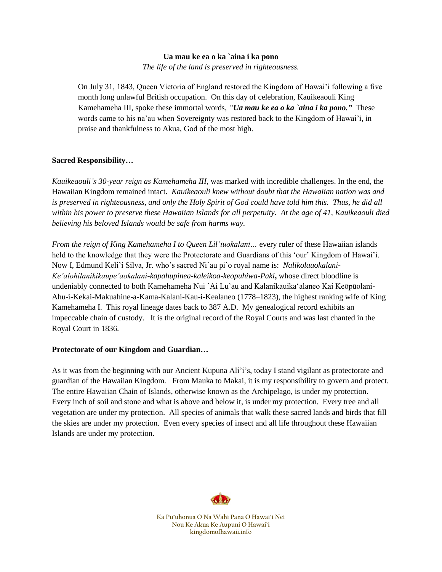#### **Ua mau ke ea o ka `aina i ka pono**

*The life of the land is preserved in righteousness.*

On July 31, 1843, Queen Victoria of England restored the Kingdom of Hawai'i following a five month long unlawful British occupation. On this day of celebration, Kauikeaouli King Kamehameha III, spoke these immortal words, *"Ua mau ke ea o ka `aina i ka pono."* These words came to his na'au when Sovereignty was restored back to the Kingdom of Hawai'i, in praise and thankfulness to Akua, God of the most high.

### **Sacred Responsibility…**

*Kauikeaouli's 30-year reign as Kamehameha III*, was marked with incredible challenges. In the end, the Hawaiian Kingdom remained intact.*Kauikeaouli knew without doubt that the Hawaiian nation was and is preserved in righteousness, and only the Holy Spirit of God could have told him this. Thus, he did all within his power to preserve these Hawaiian Islands for all perpetuity. At the age of 41, Kauikeaouli died believing his beloved Islands would be safe from harms way.* 

*From the reign of King Kamehameha I to Queen Lil'iuokalani…* every ruler of these Hawaiian islands held to the knowledge that they were the Protectorate and Guardians of this 'our' Kingdom of Hawai'i. Now I, Edmund Keli'i Silva, Jr. who's sacred Ni`au pi`o royal name is: *Nalikolauokalani-Ke'alohilanikikaupe'aokalani-kapahupinea-kaleikoa-keopuhiwa-Paki***,** whose direct bloodline is undeniably connected to both Kamehameha Nui `Ai Lu`au and Kalanikauikaʻalaneo Kai Keōpūolani-Ahu-i-Kekai-Makuahine-a-Kama-Kalani-Kau-i-Kealaneo (1778–1823), the highest ranking wife of King Kamehameha I. This royal lineage dates back to 387 A.D. My genealogical record exhibits an impeccable chain of custody. It is the original record of the Royal Courts and was last chanted in the Royal Court in 1836.

# **Protectorate of our Kingdom and Guardian…**

As it was from the beginning with our Ancient Kupuna Ali'i's, today I stand vigilant as protectorate and guardian of the Hawaiian Kingdom. From Mauka to Makai, it is my responsibility to govern and protect. The entire Hawaiian Chain of Islands, otherwise known as the Archipelago, is under my protection. Every inch of soil and stone and what is above and below it, is under my protection. Every tree and all vegetation are under my protection. All species of animals that walk these sacred lands and birds that fill the skies are under my protection. Even every species of insect and all life throughout these Hawaiian Islands are under my protection.

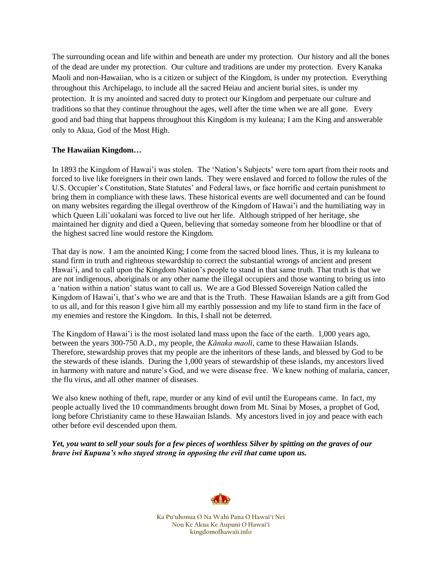The surrounding ocean and life within and beneath are under my protection. Our history and all the bones of the dead are under my protection. Our culture and traditions are under my protection. Every Kanaka Maoli and non-Hawaiian, who is a citizen or subject of the Kingdom, is under my protection. Everything throughout this Archipelago, to include all the sacred Heiau and ancient burial sites, is under my protection. It is my anointed and sacred duty to protect our Kingdom and perpetuate our culture and traditions so that they continue throughout the ages, well after the time when we are all gone. Every good and bad thing that happens throughout this Kingdom is my kuleana; I am the King and answerable only to Akua, God of the Most High.

# **The Hawaiian Kingdom…**

In 1893 the Kingdom of Hawai'i was stolen. The 'Nation's Subjects' were torn apart from their roots and forced to live like foreigners in their own lands. They were enslaved and forced to follow the rules of the U.S. Occupier's Constitution, State Statutes' and Federal laws, or face horrific and certain punishment to bring them in compliance with these laws. These historical events are well documented and can be found on many websites regarding the illegal overthrow of the Kingdom of Hawai'i and the humiliating way in which Queen Lili'uokalani was forced to live out her life. Although stripped of her heritage, she maintained her dignity and died a Queen, believing that someday someone from her bloodline or that of the highest sacred line would restore the Kingdom.

That day is now. I am the anointed King; I come from the sacred blood lines. Thus, it is my kuleana to stand firm in truth and righteous stewardship to correct the substantial wrongs of ancient and present Hawai'i, and to call upon the Kingdom Nation's people to stand in that same truth. That truth is that we are not indigenous, aboriginals or any other name the illegal occupiers and those wanting to bring us into a 'nation within a nation' status want to call us. We are a God Blessed Sovereign Nation called the Kingdom of Hawai'i, that's who we are and that is the Truth. These Hawaiian Islands are a gift from God to us all, and for this reason I give him all my earthly possession and my life to stand firm in the face of my enemies and restore the Kingdom. In this, I shall not be deterred.

The Kingdom of Hawai'i is the most isolated land mass upon the face of the earth. 1,000 years ago, between the years 300-750 A.D., my people, the *Kānaka maoli*, came to these Hawaiian Islands. Therefore, stewardship proves that my people are the inheritors of these lands, and blessed by God to be the stewards of these islands. During the 1,000 years of stewardship of these islands, my ancestors lived in harmony with nature and nature's God, and we were disease free. We knew nothing of malaria, cancer, the flu virus, and all other manner of diseases.

We also knew nothing of theft, rape, murder or any kind of evil until the Europeans came. In fact, my people actually lived the 10 commandments brought down from Mt. Sinai by Moses, a prophet of God, long before Christianity came to these Hawaiian Islands. My ancestors lived in joy and peace with each other before evil descended upon them.

*Yet, you want to sell your souls for a few pieces of worthless Silver by spitting on the graves of our brave iwi Kupuna's who stayed strong in opposing the evil that came upon us.* 

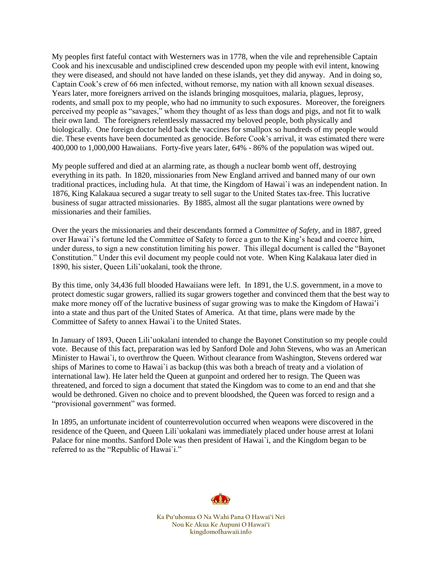My peoples first fateful contact with Westerners was in 1778, when the vile and reprehensible Captain Cook and his inexcusable and undisciplined crew descended upon my people with evil intent, knowing they were diseased, and should not have landed on these islands, yet they did anyway. And in doing so, Captain Cook's crew of 66 men infected, without remorse, my nation with all known sexual diseases. Years later, more foreigners arrived on the islands bringing mosquitoes, malaria, plagues, leprosy, rodents, and small pox to my people, who had no immunity to such exposures. Moreover, the foreigners perceived my people as "savages," whom they thought of as less than dogs and pigs, and not fit to walk their own land. The foreigners relentlessly massacred my beloved people, both physically and biologically. One foreign doctor held back the vaccines for smallpox so hundreds of my people would die. These events have been documented as genocide. Before Cook's arrival, it was estimated there were 400,000 to 1,000,000 Hawaiians. Forty-five years later, 64% - 86% of the population was wiped out.

My people suffered and died at an alarming rate, as though a nuclear bomb went off, destroying everything in its path. In 1820, missionaries from New England arrived and banned many of our own traditional practices, including hula. At that time, the Kingdom of Hawai`i was an independent nation. In 1876, King Kalakaua secured a sugar treaty to sell sugar to the United States tax-free. This lucrative business of sugar attracted missionaries. By 1885, almost all the sugar plantations were owned by missionaries and their families.

Over the years the missionaries and their descendants formed a *Committee of Safety,* and in 1887, greed over Hawai`i's fortune led the Committee of Safety to force a gun to the King's head and coerce him, under duress, to sign a new constitution limiting his power. This illegal document is called the "Bayonet Constitution." Under this evil document my people could not vote. When King Kalakaua later died in 1890, his sister, Queen Lili'uokalani, took the throne.

By this time, only 34,436 full blooded Hawaiians were left. In 1891, the U.S. government, in a move to protect domestic sugar growers, rallied its sugar growers together and convinced them that the best way to make more money off of the lucrative business of sugar growing was to make the Kingdom of Hawai'i into a state and thus part of the United States of America. At that time, plans were made by the Committee of Safety to annex Hawai`i to the United States.

In January of 1893, Queen Lili'uokalani intended to change the Bayonet Constitution so my people could vote. Because of this fact, preparation was led by Sanford Dole and John Stevens, who was an American Minister to Hawai`i, to overthrow the Queen. Without clearance from Washington, Stevens ordered war ships of Marines to come to Hawai`i as backup (this was both a breach of treaty and a violation of international law). He later held the Queen at gunpoint and ordered her to resign. The Queen was threatened, and forced to sign a document that stated the Kingdom was to come to an end and that she would be dethroned. Given no choice and to prevent bloodshed, the Queen was forced to resign and a "provisional government" was formed.

In 1895, an unfortunate incident of counterrevolution occurred when weapons were discovered in the residence of the Queen, and Queen Lili`uokalani was immediately placed under house arrest at Iolani Palace for nine months. Sanford Dole was then president of Hawai`i, and the Kingdom began to be referred to as the "Republic of Hawai`i."

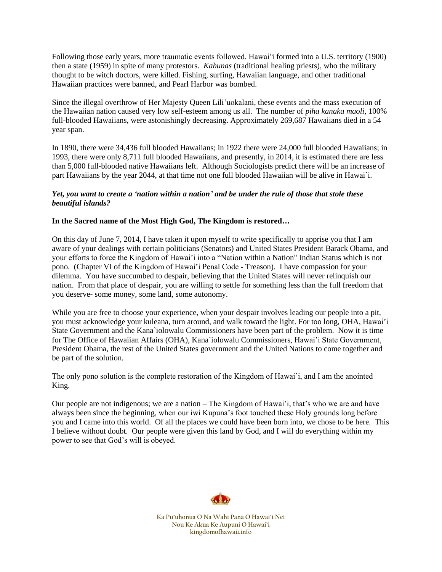Following those early years, more traumatic events followed. Hawai'i formed into a U.S. territory (1900) then a state (1959) in spite of many protestors. *Kahunas* (traditional healing priests), who the military thought to be witch doctors, were killed. Fishing, surfing, Hawaiian language, and other traditional Hawaiian practices were banned, and Pearl Harbor was bombed.

Since the illegal overthrow of Her Majesty Queen Lili'uokalani, these events and the mass execution of the Hawaiian nation caused very low self-esteem among us all. The number of *piha kanaka maoli,* 100% full-blooded Hawaiians, were astonishingly decreasing. Approximately 269,687 Hawaiians died in a 54 year span.

In 1890, there were 34,436 full blooded Hawaiians; in 1922 there were 24,000 full blooded Hawaiians; in 1993, there were only 8,711 full blooded Hawaiians, and presently, in 2014, it is estimated there are less than 5,000 full-blooded native Hawaiians left. Although Sociologists predict there will be an increase of part Hawaiians by the year 2044, at that time not one full blooded Hawaiian will be alive in Hawai`i.

### *Yet, you want to create a 'nation within a nation' and be under the rule of those that stole these beautiful islands?*

# **In the Sacred name of the Most High God, The Kingdom is restored…**

On this day of June 7, 2014, I have taken it upon myself to write specifically to apprise you that I am aware of your dealings with certain politicians (Senators) and United States President Barack Obama, and your efforts to force the Kingdom of Hawai'i into a "Nation within a Nation" Indian Status which is not pono. (Chapter VI of the Kingdom of Hawai'i Penal Code - Treason). I have compassion for your dilemma. You have succumbed to despair, believing that the United States will never relinquish our nation. From that place of despair, you are willing to settle for something less than the full freedom that you deserve- some money, some land, some autonomy.

While you are free to choose your experience, when your despair involves leading our people into a pit, you must acknowledge your kuleana, turn around, and walk toward the light. For too long, OHA, Hawai'i State Government and the Kana`iolowalu Commissioners have been part of the problem. Now it is time for The Office of Hawaiian Affairs (OHA), Kana`iolowalu Commissioners, Hawai'i State Government, President Obama, the rest of the United States government and the United Nations to come together and be part of the solution.

The only pono solution is the complete restoration of the Kingdom of Hawai'i, and I am the anointed King.

Our people are not indigenous; we are a nation – The Kingdom of Hawai'i, that's who we are and have always been since the beginning, when our iwi Kupuna's foot touched these Holy grounds long before you and I came into this world. Of all the places we could have been born into, we chose to be here. This I believe without doubt. Our people were given this land by God, and I will do everything within my power to see that God's will is obeyed.